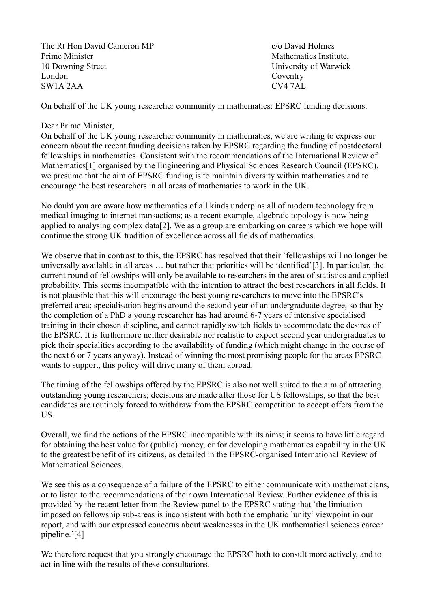The Rt Hon David Cameron MP c/o David Holmes Prime Minister Mathematics Institute, 10 Downing Street University of Warwick London Coventry SW1A 2AA CV4 7AL

On behalf of the UK young researcher community in mathematics: EPSRC funding decisions.

# Dear Prime Minister,

On behalf of the UK young researcher community in mathematics, we are writing to express our concern about the recent funding decisions taken by EPSRC regarding the funding of postdoctoral fellowships in mathematics. Consistent with the recommendations of the International Review of Mathematics[1] organised by the Engineering and Physical Sciences Research Council (EPSRC), we presume that the aim of EPSRC funding is to maintain diversity within mathematics and to encourage the best researchers in all areas of mathematics to work in the UK.

No doubt you are aware how mathematics of all kinds underpins all of modern technology from medical imaging to internet transactions; as a recent example, algebraic topology is now being applied to analysing complex data[2]. We as a group are embarking on careers which we hope will continue the strong UK tradition of excellence across all fields of mathematics.

We observe that in contrast to this, the EPSRC has resolved that their `fellowships will no longer be universally available in all areas … but rather that priorities will be identified'[3]. In particular, the current round of fellowships will only be available to researchers in the area of statistics and applied probability. This seems incompatible with the intention to attract the best researchers in all fields. It is not plausible that this will encourage the best young researchers to move into the EPSRC's preferred area; specialisation begins around the second year of an undergraduate degree, so that by the completion of a PhD a young researcher has had around 6-7 years of intensive specialised training in their chosen discipline, and cannot rapidly switch fields to accommodate the desires of the EPSRC. It is furthermore neither desirable nor realistic to expect second year undergraduates to pick their specialities according to the availability of funding (which might change in the course of the next 6 or 7 years anyway). Instead of winning the most promising people for the areas EPSRC wants to support, this policy will drive many of them abroad.

The timing of the fellowships offered by the EPSRC is also not well suited to the aim of attracting outstanding young researchers; decisions are made after those for US fellowships, so that the best candidates are routinely forced to withdraw from the EPSRC competition to accept offers from the US.

Overall, we find the actions of the EPSRC incompatible with its aims; it seems to have little regard for obtaining the best value for (public) money, or for developing mathematics capability in the UK to the greatest benefit of its citizens, as detailed in the EPSRC-organised International Review of Mathematical Sciences.

We see this as a consequence of a failure of the EPSRC to either communicate with mathematicians, or to listen to the recommendations of their own International Review. Further evidence of this is provided by the recent letter from the Review panel to the EPSRC stating that `the limitation imposed on fellowship sub-areas is inconsistent with both the emphatic `unity' viewpoint in our report, and with our expressed concerns about weaknesses in the UK mathematical sciences career pipeline.'[4]

We therefore request that you strongly encourage the EPSRC both to consult more actively, and to act in line with the results of these consultations.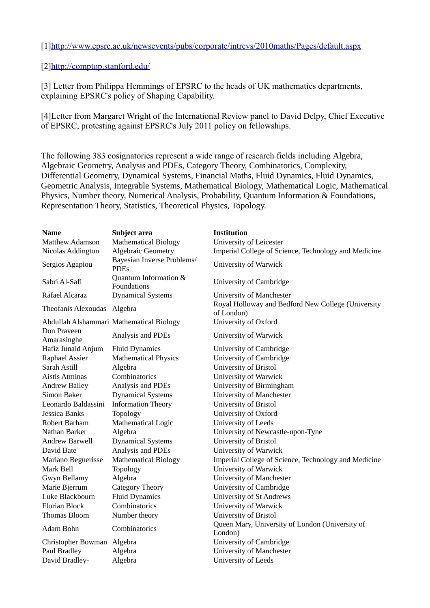[1[\] http://www.epsrc.ac.uk/newsevents/pubs/corporate/intrevs/2010maths/Pages/default .aspx](http://www.epsrc.ac.uk/newsevents/pubs/corporate/intrevs/2010maths/Pages/default.aspx)

# [2[\]http://comptop.stanford.edu/](http://comptop.stanford.edu/)

[3] Letter from Philippa Hemmings of EPSRC to the heads of UK mathematics departments, explaining EPSRC's policy of Shaping Capability.

[4]Letter from Margaret Wright of the International Review panel to David Delpy, Chief Executive of EPSRC, protesting against EPSRC's July 2011 policy on fellowships.

The following 383 cosignatories represent a wide range of research fields including Algebra, Algebraic Geometry, Analysis and PDEs, Category Theory, Combinatorics, Complexity, Differential Geometry, Dynamical Systems, Financial Maths, Fluid Dynamics, Fluid Dynamics, Geometric Analysis, Integrable Systems, Mathematical Biology, Mathematical Logic, Mathematical Physics, Number theory, Numerical Analysis, Probability, Quantum Information & Foundations, Representation Theory, Statistics, Theoretical Physics, Topology.

| <b>Name</b>                 | Subject area                              | <b>Institution</b>                                               |
|-----------------------------|-------------------------------------------|------------------------------------------------------------------|
| <b>Matthew Adamson</b>      | <b>Mathematical Biology</b>               | <b>University of Leicester</b>                                   |
| Nicolas Addington           | <b>Algebraic Geometry</b>                 | Imperial College of Science, Technology and Medicine             |
| Sergios Agapiou             | Bayesian Inverse Problems/<br><b>PDEs</b> | University of Warwick                                            |
| Sabri Al-Safi               | Quantum Information &<br>Foundations      | <b>University of Cambridge</b>                                   |
| Rafael Alcaraz              | <b>Dynamical Systems</b>                  | <b>University of Manchester</b>                                  |
| Theofanis Alexoudas Algebra |                                           | Royal Holloway and Bedford New College (University<br>of London) |
|                             | Abdullah Alshammari Mathematical Biology  | University of Oxford                                             |
| Don Praveen<br>Amarasinghe  | Analysis and PDEs                         | University of Warwick                                            |
| Hafiz Junaid Anjum          | <b>Fluid Dynamics</b>                     | <b>University of Cambridge</b>                                   |
| Raphael Assier              | <b>Mathematical Physics</b>               | <b>University of Cambridge</b>                                   |
| Sarah Astill                | Algebra                                   | University of Bristol                                            |
| <b>Aistis Atminas</b>       | Combinatorics                             | <b>University of Warwick</b>                                     |
| <b>Andrew Bailey</b>        | Analysis and PDEs                         | University of Birmingham                                         |
| Simon Baker                 | <b>Dynamical Systems</b>                  | <b>University of Manchester</b>                                  |
| Leonardo Baldassini         | <b>Information Theory</b>                 | University of Bristol                                            |
| Jessica Banks               | Topology                                  | University of Oxford                                             |
| Robert Barham               | Mathematical Logic                        | <b>University of Leeds</b>                                       |
| Nathan Barker               | Algebra                                   | University of Newcastle-upon-Tyne                                |
| <b>Andrew Barwell</b>       | <b>Dynamical Systems</b>                  | University of Bristol                                            |
| David Bate                  | Analysis and PDEs                         | University of Warwick                                            |
| Mariano Beguerisse          | <b>Mathematical Biology</b>               | Imperial College of Science, Technology and Medicine             |
| Mark Bell                   | Topology                                  | <b>University of Warwick</b>                                     |
| Gwyn Bellamy                | Algebra                                   | <b>University of Manchester</b>                                  |
| Marie Bjerrum               | <b>Category Theory</b>                    | <b>University of Cambridge</b>                                   |
| Luke Blackbourn             | <b>Fluid Dynamics</b>                     | University of St Andrews                                         |
| <b>Florian Block</b>        | Combinatorics                             | <b>University of Warwick</b>                                     |
| Thomas Bloom                | Number theory                             | University of Bristol                                            |
| Adam Bohn                   | Combinatorics                             | Queen Mary, University of London (University of<br>London)       |
| Christopher Bowman Algebra  |                                           | <b>University of Cambridge</b>                                   |
| Paul Bradley                | Algebra                                   | <b>University of Manchester</b>                                  |
| David Bradley-              | Algebra                                   | <b>University of Leeds</b>                                       |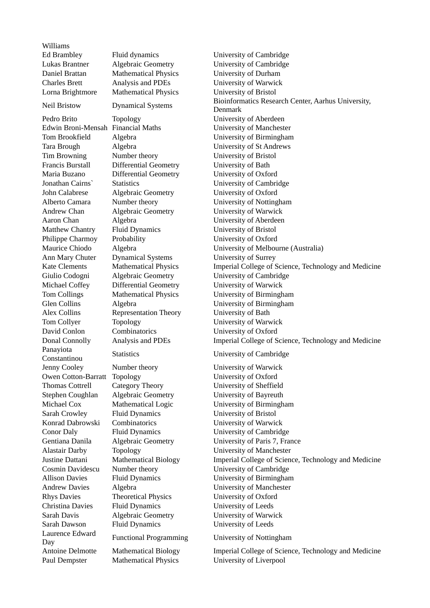Williams Panayiota Laurence Edward

Ed Brambley Fluid dynamics University of Cambridge Daniel Brattan Mathematical Physics University of Durham Charles Brett Analysis and PDEs University of Warwick Lorna Brightmore Mathematical Physics University of Bristol Pedro Brito Topology University of Aberdeen Tim Browning Number theory University of Bristol Francis Burstall Differential Geometry University of Bath Maria Buzano Differential Geometry University of Oxford John Calabrese Algebraic Geometry University of Oxford Andrew Chan Algebraic Geometry University of Warwick Aaron Chan **Algebra** Algebra University of Aberdeen Matthew Chantry Fluid Dynamics University of Bristol Philippe Charmoy Probability University of Oxford Ann Mary Chuter Dynamical Systems University of Surrey Michael Coffey Differential Geometry University of Warwick Alex Collins Representation Theory University of Bath Tom Collyer Topology **The University of Warwick** David Conlon Combinatorics University of Oxford Constantinou Statistics University of Cambridge Jenny Cooley Number theory University of Warwick Owen Cotton-Barratt Topology University of Oxford Thomas Cottrell Category Theory University of Sheffield Stephen Coughlan Algebraic Geometry University of Bayreuth Sarah Crowley Fluid Dynamics University of Bristol Konrad Dabrowski Combinatorics University of Warwick Rhys Davies Theoretical Physics University of Oxford Christina Davies Fluid Dynamics University of Leeds Sarah Davis Algebraic Geometry University of Warwick Sarah Dawson Fluid Dynamics University of Leeds Day Functional Programming University of Nottingham

Lukas Brantner Algebraic Geometry University of Cambridge Neil Bristow Dynamical Systems Bioinformatics Research Center, Aarhus University, Denmark Edwin Broni-Mensah Financial Maths University of Manchester Tom Brookfield Algebra University of Birmingham Tara Brough Algebra University of St Andrews Jonathan Cairns` Statistics University of Cambridge Alberto Camara Number theory University of Nottingham Maurice Chiodo Algebra University of Melbourne (Australia) Kate Clements Mathematical Physics Imperial College of Science, Technology and Medicine Giulio Codogni Algebraic Geometry University of Cambridge Tom Collings Mathematical Physics University of Birmingham Glen Collins Algebra University of Birmingham Donal Connolly Analysis and PDEs Imperial College of Science, Technology and Medicine

Michael Cox Mathematical Logic University of Birmingham Conor Daly Fluid Dynamics University of Cambridge Gentiana Danila Algebraic Geometry University of Paris 7, France Alastair Darby Topology University of Manchester Justine Dattani Mathematical Biology Imperial College of Science, Technology and Medicine Cosmin Davidescu Number theory University of Cambridge Allison Davies Fluid Dynamics University of Birmingham Andrew Davies Algebra (Algebra University of Manchester

Antoine Delmotte Mathematical Biology Imperial College of Science, Technology and Medicine Paul Dempster Mathematical Physics University of Liverpool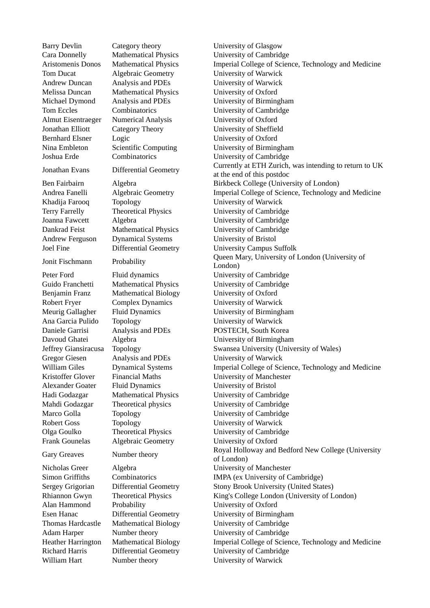Barry Devlin Category theory University of Glasgow Melissa Duncan Mathematical Physics University of Oxford Almut Eisentraeger Numerical Analysis University of Oxford Bernhard Elsner Logic University of Oxford Andrew Ferguson Dynamical Systems University of Bristol

Benjamin Franz Mathematical Biology University of Oxford Alexander Goater Fluid Dynamics University of Bristol

Alan Hammond Probability University of Oxford

Cara Donnelly Mathematical Physics University of Cambridge Aristomenis Donos Mathematical Physics Imperial College of Science, Technology and Medicine Tom Ducat Algebraic Geometry University of Warwick Andrew Duncan Analysis and PDEs University of Warwick Michael Dymond Analysis and PDEs University of Birmingham Tom Eccles Combinatorics University of Cambridge Jonathan Elliott Category Theory University of Sheffield Nina Embleton Scientific Computing University of Birmingham Joshua Erde Combinatorics University of Cambridge Jonathan Evans Differential Geometry Currently at ETH Zurich, was intending to return to UK at the end of this postdoc Ben Fairbairn Algebra Birkbeck College (University of London) Andrea Fanelli Algebraic Geometry **Imperial College of Science**, Technology and Medicine Khadija Farooq Topology University of Warwick Terry Farrelly Theoretical Physics University of Cambridge Joanna Fawcett Algebra 1986 March 1986 University of Cambridge Dankrad Feist Mathematical Physics University of Cambridge Joel Fine Differential Geometry University Campus Suffolk Jonit Fischmann Probability Queen Mary, University of London (University of London) Peter Ford Fluid dynamics University of Cambridge Guido Franchetti Mathematical Physics University of Cambridge Robert Fryer Complex Dynamics University of Warwick Meurig Gallagher Fluid Dynamics University of Birmingham Ana Garcia Pulido Topology University of Warwick Daniele Garrisi Analysis and PDEs POSTECH, South Korea Davoud Ghatei Algebra University of Birmingham Jeffrey Giansiracusa Topology Swansea University (University of Wales) Gregor Giesen Analysis and PDEs University of Warwick William Giles Dynamical Systems Imperial College of Science, Technology and Medicine Kristoffer Glover Financial Maths University of Manchester Hadi Godazgar Mathematical Physics University of Cambridge Mahdi Godazgar Theoretical physics University of Cambridge Marco Golla Topology University of Cambridge Robert Goss Topology University of Warwick Olga Goulko Theoretical Physics University of Cambridge Frank Gounelas Algebraic Geometry University of Oxford Gary Greaves Number theory Royal Holloway and Bedford New College (University of London) Nicholas Greer Algebra University of Manchester Simon Griffiths Combinatorics IMPA (ex University of Cambridge) Sergey Grigorian Differential Geometry Stony Brook University (United States) Rhiannon Gwyn Theoretical Physics King's College London (University of London) Esen Hanac Differential Geometry University of Birmingham Thomas Hardcastle Mathematical Biology University of Cambridge Adam Harper Mumber theory University of Cambridge Heather Harrington Mathematical Biology Imperial College of Science, Technology and Medicine Richard Harris Differential Geometry University of Cambridge William Hart Mumber theory University of Warwick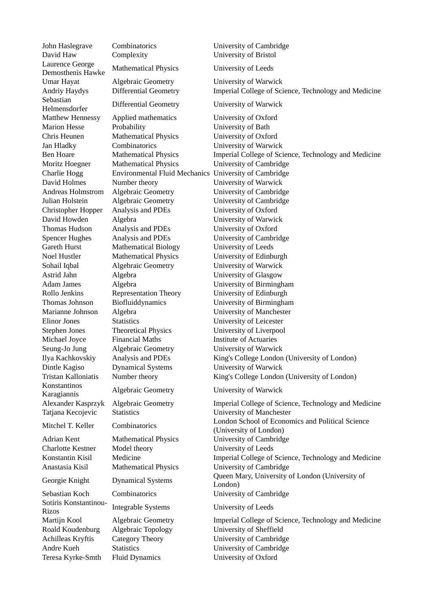Laurence George Sebastian Konstantinos Sotiris Konstantinou-

John Haslegrave Combinatorics University of Cambridge David Haw Complexity University of Bristol Demosthenis Hawke Mathematical Physics University of Leeds Umar Hayat Algebraic Geometry University of Warwick Andriy Haydys Differential Geometry Imperial College of Science, Technology and Medicine Helmensdorfer Differential Geometry University of Warwick Matthew Hennessy Applied mathematics University of Oxford Marion Hesse Probability **National University of Bath** Chris Heunen Mathematical Physics University of Oxford Jan Hladky Combinatorics University of Warwick Ben Hoare Mathematical Physics Imperial College of Science, Technology and Medicine Moritz Hoegner Mathematical Physics University of Cambridge Charlie Hogg Environmental Fluid Mechanics University of Cambridge David Holmes Number theory University of Warwick Andreas Holmstrom Algebraic Geometry University of Cambridge Julian Holstein Algebraic Geometry University of Cambridge Christopher Hopper Analysis and PDEs University of Oxford David Howden Algebra University of Warwick Thomas Hudson Analysis and PDEs University of Oxford Spencer Hughes Analysis and PDEs University of Cambridge Gareth Hurst Mathematical Biology University of Leeds Noel Hustler Mathematical Physics University of Edinburgh Sohail Iqbal **Algebraic Geometry** University of Warwick Astrid Jahn Algebra University of Glasgow Adam James Algebra University of Birmingham Rollo Jenkins Representation Theory University of Edinburgh Thomas Johnson Biofluiddynamics University of Birmingham Marianne Johnson Algebra University of Manchester Elinor Jones Statistics University of Leicester Stephen Jones Theoretical Physics University of Liverpool Michael Joyce Financial Maths Institute of Actuaries Seung-Jo Jung Algebraic Geometry University of Warwick Ilya Kachkovskiy Analysis and PDEs King's College London (University of London) Dintle Kagiso Dynamical Systems University of Warwick Tristan Kalloniatis Number theory King's College London (University of London) Karagiannis Algebraic Geometry University of Warwick Alexander Kasprzyk Algebraic Geometry **Imperial College of Science**, Technology and Medicine Tatjana Kecojevic Statistics University of Manchester Mitchel T. Keller Combinatorics London School of Economics and Political Science (University of London) Adrian Kent Mathematical Physics University of Cambridge Charlotte Kestner Model theory University of Leeds Konstantin Kisil Medicine Imperial College of Science, Technology and Medicine Anastasia Kisil Mathematical Physics University of Cambridge Georgie Knight Dynamical Systems Queen Mary, University of London (University of Georgie Knight London) Sebastian Koch Combinatorics University of Cambridge Souris Roustantinou-<br>Rizos **Integrable Systems** University of Leeds Martijn Kool Algebraic Geometry Imperial College of Science, Technology and Medicine Roald Koudenburg Algebraic Topology University of Sheffield Achilleas Kryftis Category Theory University of Cambridge Andre Kueh Statistics University of Cambridge Teresa Kyrke-Smth Fluid Dynamics University of Oxford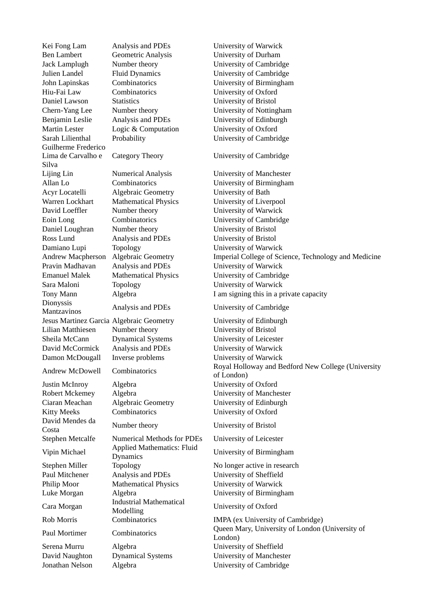Kei Fong Lam Analysis and PDEs University of Warwick Ben Lambert Geometric Analysis University of Durham Jack Lamplugh Number theory University of Cambridge Julien Landel Fluid Dynamics University of Cambridge John Lapinskas Combinatorics University of Birmingham Hiu-Fai Law Combinatorics University of Oxford Daniel Lawson Statistics University of Bristol Chern-Yang Lee Number theory University of Nottingham Benjamin Leslie Analysis and PDEs University of Edinburgh Martin Lester Logic & Computation University of Oxford Sarah Lilienthal Probability **Example 2018** University of Cambridge Guilherme Frederico Lima de Carvalho e Silva Category Theory University of Cambridge Lijing Lin Numerical Analysis University of Manchester Allan Lo Combinatorics University of Birmingham Acyr Locatelli Algebraic Geometry University of Bath Warren Lockhart Mathematical Physics University of Liverpool David Loeffler Number theory University of Warwick Eoin Long Combinatorics University of Cambridge Daniel Loughran Number theory University of Bristol Ross Lund Analysis and PDEs University of Bristol Damiano Lupi Topology University of Warwick Andrew Macpherson Algebraic Geometry Imperial College of Science, Technology and Medicine Pravin Madhavan Analysis and PDEs University of Warwick Emanuel Malek Mathematical Physics University of Cambridge Sara Maloni Topology **The University of Warwick** Tony Mann **Algebra I** am signing this in a private capacity **Dionyssis** Mantzavinos Analysis and PDEs University of Cambridge Jesus Martinez Garcia Algebraic Geometry University of Edinburgh Lilian Matthiesen Number theory University of Bristol Sheila McCann Dynamical Systems University of Leicester David McCormick Analysis and PDEs University of Warwick Damon McDougall Inverse problems University of Warwick Andrew McDowell Combinatorics Royal Holloway and Bedford New College (University Justin McInroy Algebra University of Oxford Robert Mckemey Algebra University of Manchester Ciaran Meachan Algebraic Geometry University of Edinburgh Kitty Meeks Combinatorics University of Oxford David Mendes da Costa Number theory University of Bristol Stephen Metcalfe Numerical Methods for PDEs University of Leicester Vipin Michael Applied Mathematics: Fluid Stephen Miller Topology No longer active in research Paul Mitchener Analysis and PDEs University of Sheffield Philip Moor Mathematical Physics University of Warwick Luke Morgan Algebra University of Birmingham Cara Morgan Industrial Mathematical<br>
Modelling Rob Morris Combinatorics IMPA (ex University of Cambridge) Paul Mortimer Combinatorics Queen Mary, University of London (University of Serena Murru Algebra University of Sheffield David Naughton Dynamical Systems University of Manchester Jonathan Nelson Algebra University of Cambridge

of London)

University of Birmingham

University of Oxford

London)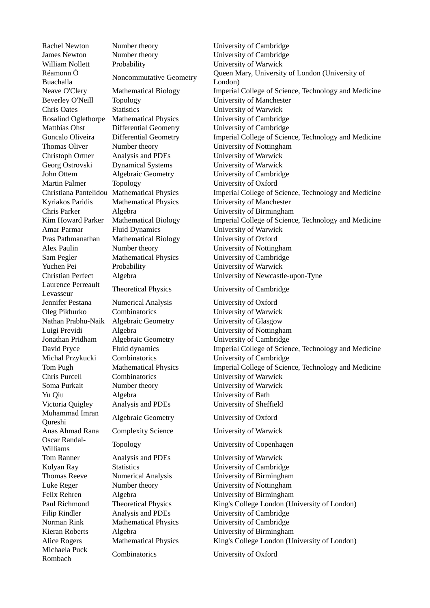Réamonn Ó Laurence Perreault Muhammad Imran Oscar Randal-Michaela Puck

William Nollett Probability **Probability** University of Warwick Chris Oates Statistics University of Warwick Christoph Ortner Analysis and PDEs University of Warwick Georg Ostrovski Dynamical Systems University of Warwick Martin Palmer Topology University of Oxford Amar Parmar Fluid Dynamics University of Warwick Pras Pathmanathan Mathematical Biology University of Oxford Yuchen Pei Probability University of Warwick Jennifer Pestana Numerical Analysis University of Oxford Oleg Pikhurko Combinatorics University of Warwick Nathan Prabhu-Naik Algebraic Geometry University of Glasgow Chris Purcell Combinatorics University of Warwick Soma Purkait Mumber theory University of Warwick Yu Qiu Algebra University of Bath Victoria Quigley Analysis and PDEs University of Sheffield Qureshi Algebraic Geometry University of Oxford Anas Ahmad Rana Complexity Science University of Warwick Williams Topology University of Copenhagen Tom Ranner Analysis and PDEs University of Warwick

Rachel Newton Mumber theory University of Cambridge James Newton Number theory University of Cambridge Réamonn Ó<br>Buachalla Noncommutative Geometry Queen Mary, University of London (University of Buachalla London) Neave O'Clery Mathematical Biology Imperial College of Science, Technology and Medicine Beverley O'Neill Topology University of Manchester Rosalind Oglethorpe Mathematical Physics University of Cambridge Matthias Ohst Differential Geometry University of Cambridge Goncalo Oliveira Differential Geometry Imperial College of Science, Technology and Medicine Thomas Oliver Number theory University of Nottingham John Ottem Algebraic Geometry University of Cambridge Christiana Pantelidou Mathematical Physics Imperial College of Science, Technology and Medicine Kyriakos Paridis Mathematical Physics University of Manchester Chris Parker Algebra University of Birmingham Kim Howard Parker Mathematical Biology Imperial College of Science, Technology and Medicine Alex Paulin **Number theory** University of Nottingham Sam Pegler Mathematical Physics University of Cambridge Christian Perfect Algebra University of Newcastle-upon-Tyne Levasseur Theoretical Physics University of Cambridge Luigi Previdi Algebra University of Nottingham Jonathan Pridham Algebraic Geometry University of Cambridge David Pryce Fluid dynamics Imperial College of Science, Technology and Medicine Michal Przykucki Combinatorics University of Cambridge Tom Pugh Mathematical Physics Imperial College of Science, Technology and Medicine

- 
- 

Kolyan Ray Statistics University of Cambridge Thomas Reeve Numerical Analysis University of Birmingham Luke Reger Number theory University of Nottingham Felix Rehren Algebra University of Birmingham Paul Richmond Theoretical Physics King's College London (University of London) Filip Rindler **Analysis and PDEs** University of Cambridge Norman Rink Mathematical Physics University of Cambridge Kieran Roberts Algebra **Interval Accord Accord Accord Accord Accord Accord Accord Accord Accord Accord Accord Accord Accord Accord Accord Accord Accord Accord Accord Accord Accord Accord Accord Accord Accord Accord Accord** Alice Rogers Mathematical Physics King's College London (University of London)

Rombach Combinatorics University of Oxford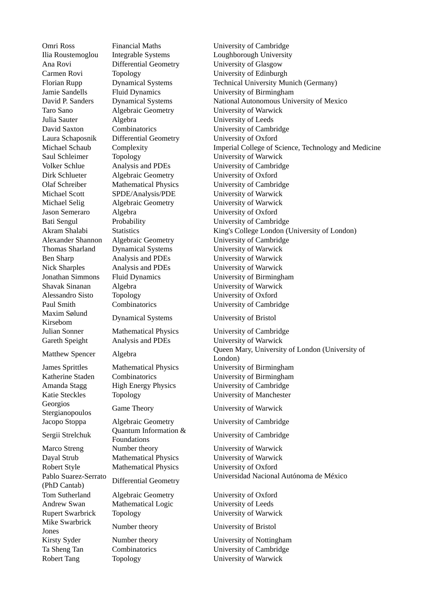Maxim Sølund

Georgios

Robert Style Mathematical Physics University of Oxford Pablo Suarez-Serrato Tom Sutherland Algebraic Geometry University of Oxford Andrew Swan Mathematical Logic University of Leeds Mike Swarbrick Jones Number theory University of Bristol Kirsty Syder Number theory University of Nottingham

Ana Rovi Differential Geometry University of Glasgow Taro Sano Algebraic Geometry University of Warwick Julia Sauter Algebra University of Leeds Laura Schaposnik Differential Geometry University of Oxford Saul Schleimer Topology University of Warwick Dirk Schlueter Algebraic Geometry University of Oxford Michael Scott SPDE/Analysis/PDE University of Warwick Michael Selig Algebraic Geometry University of Warwick Jason Semeraro Algebra University of Oxford Thomas Sharland Dynamical Systems University of Warwick Ben Sharp Analysis and PDEs University of Warwick Nick Sharples Analysis and PDEs University of Warwick Shavak Sinanan Algebra University of Warwick Alessandro Sisto Topology University of Oxford Kirsebom Dynamical Systems University of Bristol Gareth Speight Analysis and PDEs University of Warwick Katie Steckles Topology University of Manchester Stergianopoulos **Game Theory** University of Warwick Sergii Strelchuk Quantum Information & Marco Streng Mumber theory University of Warwick

Omri Ross Financial Maths University of Cambridge Ilia Roustemoglou Integrable Systems Loughborough University Carmen Rovi Topology University of Edinburgh Florian Rupp Dynamical Systems Technical University Munich (Germany) Jamie Sandells Fluid Dynamics University of Birmingham David P. Sanders Dynamical Systems National Autonomous University of Mexico David Saxton Combinatorics University of Cambridge Michael Schaub Complexity Imperial College of Science, Technology and Medicine Volker Schlue Analysis and PDEs University of Cambridge Olaf Schreiber Mathematical Physics University of Cambridge Bati Sengul Probability **Probability** University of Cambridge Akram Shalabi Statistics Statistics King's College London (University of London) Alexander Shannon Algebraic Geometry University of Cambridge Jonathan Simmons Fluid Dynamics University of Birmingham Paul Smith Combinatorics University of Cambridge Julian Sonner Mathematical Physics University of Cambridge Matthew Spencer Algebra Queen Mary, University of London (University of Matthew Spencer Algebra London) James Sprittles Mathematical Physics University of Birmingham Katherine Staden Combinatorics University of Birmingham Amanda Stagg High Energy Physics University of Cambridge

Jacopo Stoppa Algebraic Geometry University of Cambridge

University of Cambridge

Dayal Strub Mathematical Physics University of Warwick (PhD Cantab) Differential Geometry Universidad Nacional Autónoma de México

Rupert Swarbrick Topology University of Warwick

Ta Sheng Tan Combinatorics University of Cambridge Robert Tang Topology **The University of Warwick**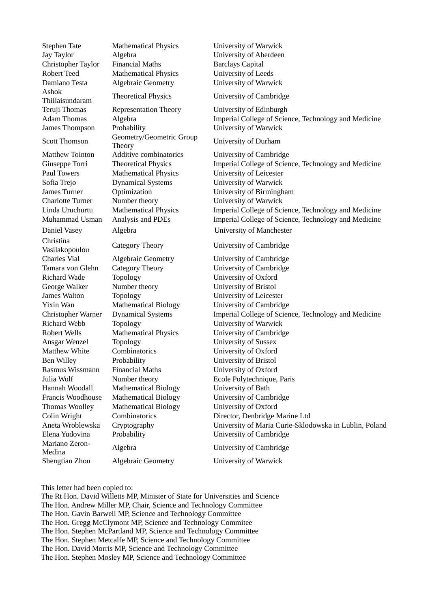Ashok

Christina Vasilakopoulou Category Theory University of Cambridge Mariano Zeron-

Jay Taylor Algebra University of Aberdeen Christopher Taylor Financial Maths Barclays Capital Robert Teed Mathematical Physics University of Leeds Damiano Testa Algebraic Geometry **University of Warwick** Thillaisundaram Theoretical Physics University of Cambridge Teruji Thomas Representation Theory University of Edinburgh James Thompson Probability **Probability** University of Warwick Scott Thomson Geometry/Geometric Group<br>Theory Matthew Tointon Additive combinatorics University of Cambridge Paul Towers Mathematical Physics University of Leicester Sofia Trejo Dynamical Systems University of Warwick Charlotte Turner Number theory University of Warwick Daniel Vasey Algebra **Algebra** University of Manchester

Richard Wade Topology University of Oxford George Walker Number theory University of Bristol James Walton Topology University of Leicester Richard Webb Topology University of Warwick Ansgar Wenzel Topology University of Sussex Matthew White Combinatorics University of Oxford Ben Willey Probability University of Bristol Rasmus Wissmann Financial Maths University of Oxford Hannah Woodall Mathematical Biology University of Bath Thomas Woolley Mathematical Biology University of Oxford Mariano Zeron-<br>
Medina Medina Algebra<br>
Medina 1990 Medina Algebra

Stephen Tate Mathematical Physics University of Warwick

Adam Thomas Algebra **Imperial College of Science**, Technology and Medicine

University of Durham

Giuseppe Torri Theoretical Physics Imperial College of Science, Technology and Medicine James Turner Optimization University of Birmingham Linda Uruchurtu Mathematical Physics Imperial College of Science, Technology and Medicine Muhammad Usman Analysis and PDEs Imperial College of Science, Technology and Medicine

Charles Vial Algebraic Geometry University of Cambridge Tamara von Glehn Category Theory University of Cambridge Yixin Wan Mathematical Biology University of Cambridge Christopher Warner Dynamical Systems Imperial College of Science, Technology and Medicine Robert Wells Mathematical Physics University of Cambridge Julia Wolf Number theory Ecole Polytechnique, Paris Francis Woodhouse Mathematical Biology University of Cambridge Colin Wright Combinatorics Director, Denbridge Marine Ltd Aneta Wroblewska Cryptography University of Maria Curie-Sklodowska in Lublin, Poland Elena Yudovina Probability University of Cambridge

Shengtian Zhou Algebraic Geometry University of Warwick

This letter had been copied to:

The Rt Hon. David Willetts MP, Minister of State for Universities and Science The Hon. Andrew Miller MP, Chair, Science and Technology Committee The Hon. Gavin Barwell MP, Science and Technology Committee The Hon. Gregg McClymont MP, Science and Technology Commitee The Hon. Stephen McPartland MP, Science and Technology Committee The Hon. Stephen Metcalfe MP, Science and Technology Committee The Hon. David Morris MP, Science and Technology Committee The Hon. Stephen Mosley MP, Science and Technology Committee